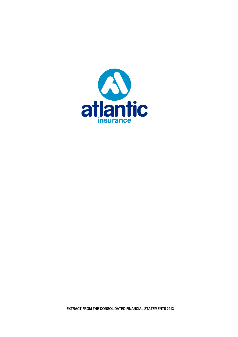

**EXTRACT FROM THE CONSOLIDATED FINANCIAL STATEMENTS 2013**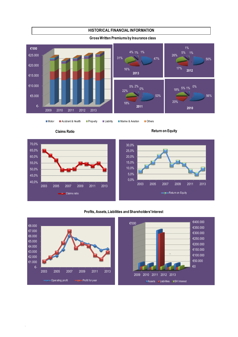

# **HISTORICAL FINANCIAL INFORMATION**



.

Motor Accident & Health Property Liability Marine & Aviation Others





## **Profits, Assets, Liabilities and Shareholders' Interest**

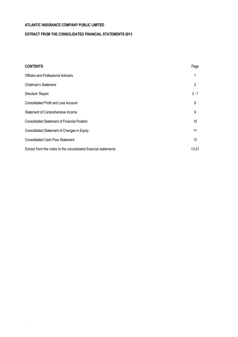.

# **EXTRACT FROM THE CONSOLIDATED FINANCIAL STATEMENTS 2013**

| <b>CONTENTS</b>                                                 | Page    |
|-----------------------------------------------------------------|---------|
| <b>Officers and Professional Advisers</b>                       |         |
| Chairman's Statement                                            | 2       |
| Directors' Report                                               | $3 - 7$ |
| <b>Consolidated Profit and Loss Account</b>                     | 8       |
| Statement of Comprehensive Income                               | 9       |
| <b>Consolidated Statement of Financial Position</b>             | 10      |
| Consolidated Statement of Changes in Equity                     | 11      |
| <b>Consolidated Cash Flow Statement</b>                         | 12      |
| Extract from the notes to the consolidated financial statements | 13-21   |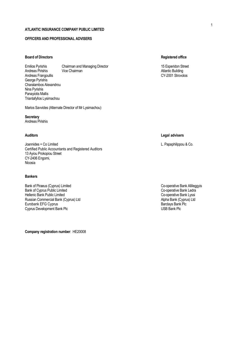## **OFFICERS AND PROFESSIONAL ADVISERS**

## **Board of Directors Registered office**

Emilios Pyrishis Chairman and Managing Director 15 Esperidon Street 15 Esperidon Street Andreas Pirishis Vice Chairman Atlantic Building Andreas Frangoullis George Pyrishis Charalambos Alexandrou Nina Pyrishis Panayiotis Mallis Triantafyllos Lysimachou

Marios Savvides (Alternate Director of Mr Lysimachou)

**Secretary** Andreas Pirishis

Joannides + Co Limited L. Papaphilippou & Co. Certified Public Accountants and Registered Auditors 13 Ayiou Prokopiou Street CY-2406 Engomi, Nicosia

#### **Bankers**

Bank of Piraeus (Cyprus) Limited Co-operative Bank Allileggyis<br>Bank of Cyprus Public Limited Co-operative Bank Ledra Bank of Cyprus Public Limited<br>
Hellenic Bank Public Limited<br>
Co-operative Bank Lyssi Hellenic Bank Public Limited<br>
Russian Commercial Bank (Cyprus) Ltd<br>
Russian Commercial Bank (Cyprus) Ltd Russian Commercial Bank (Cyprus) Ltd<br>
Eurobank EFG Cyprus<br>
Barclays Bank Plc Eurobank EFG Cyprus **Bank Plc** Cyprus Bank Plc Cyprus Bank Plc Cyprus Bank Plc Cyprus Bank Plc Cyprus Bank Plc Cyprus Bank Plc Cyprus Bank Plc Cyprus Bank Plc Cyprus Bank Plc Cyprus Bank Plc Cyprus Bank Plc Cyprus Bank Plc Cyprus Development Bank Plc

**Company registration number**: ΗΕ20008

### **Auditors Legal advisers**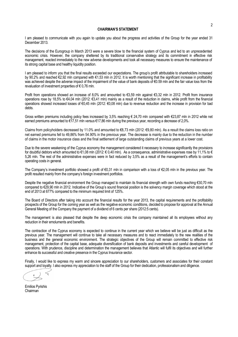#### **CHAIRMAN'S STATEMENT**

I am pleased to communicate with you again to update you about the progress and activities of the Group for the year ended 31 December 2013.

The decisions of the Eurogroup in March 2013 were a severe blow to the financial system of Cyprus and led to an unprecedented economic crisis. However, the company sheltered by its traditional conservative strategy and its commitment in effective risk management, reacted immediately to the new adverse developments and took all necessary measures to ensure the maintenance of its strong capital base and healthy liquidity position.

I am pleased to inform you that the final results exceeded our expectations. The group's profit attributable to shareholders increased by 90.2% and reached €2,92 mln compared with €1,53 mln in 2012. It is worth mentioning that the significant increase in profitability was achieved despite the adverse impact of the impairment of the value of bank deposits of €0.59 mln and the fair value loss from the revaluation of investment properties of  $\epsilon$  0,76 mln.

Profit from operations showed an increase of 8,0% and amounted to €3,59 mln against €3,32 mln in 2012. Profit from insurance operations rose by 18,5% to €4,04 mln (2012: €3,41 mln) mainly as a result of the reduction in claims, while profit from the financial operations showed increased losses of €0,45 mln (2012: €0,08 mln) due to revenue reduction and the increase in provision for bad debts.

Gross written premiums including policy fees increased by 3,5% reaching € 24,70 mln compared with €23,87 mln in 2012 while net earned premiums amounted to €17,51 mln versus €17,86 mln during the previous year, recording a decrease of 2,0%.

Claims from policyholders decreased by 11.0% and amounted to €8,73 mln (2012: €9,80 mln). As a result the claims loss ratio on net earned premiums fell to 49,86% from 54.90% in the previous year. The decrease is mainly due to the reduction in the number of claims in the motor insurance class and the final settlement of large outstanding claims of previous years at a lower cost.

Due to the severe weakening of the Cyprus economy the management considered it necessary to increase significantly the provisions for doubtful debtors which amounted to  $\epsilon$ 1,08 mln (2012:  $\epsilon$  0,40 mln). As a consequence, administrative expenses rose by 11,1% to  $\epsilon$ 5,26 mln. The rest of the administrative expenses were in fact reduced by 3,5% as a result of the management's efforts to contain operating costs in general.

The Company's investment portfolio showed a profit of €0,31 mln in comparison with a loss of €2,05 mln in the previous year. The profit resulted mainly from the company's foreign investment portfolios.

Despite the negative financial environment the Group managed to maintain its financial strength with own funds reaching €30,70 mln compared to €29,90 mln in 2012. Indicative of the Group's sound financial position is the solvency margin coverage which stood at the end of 2013 at 677% compared to the minimum required limit of 125%.

The Board of Directors after taking into account the financial results for the year 2013, the capital requirements and the profitability prospects of the Group for the coming year as well as the negative economic conditions, decided to propose for approval at the Annual General Meeting of the Company the payment of a dividend of 6 cents per share (2012:5 cents).

The management is also pleased that despite the deep economic crisis the company maintained all its employees without any reduction in their emoluments and benefits.

The contraction of the Cyprus economy is expected to continue in the current year which we believe will be just as difficult as the previous year. The management will continue to take all necessary measures and to react immediately to the new realities of the business and the general economic environment. The strategic objectives of the Group will remain committed to effective risk management, protection of the capital base, adequate diversification of bank deposits and investments and careful development of operations. With prudence, discipline and determination the management believes that Atlantic will fulfil its objectives and will further enhance its successful and creative presence in the Cyprus Insurance sector.

Finally, I would like to express my warm and sincere appreciation to our shareholders, customers and associates for their constant support and loyalty. I also express my appreciation to the staff of the Group for their dedication, professionalism and diligence.

Emilios Pyrishis **Chairman**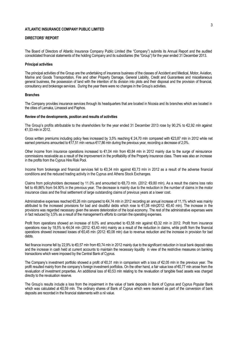#### **DIRECTORS' REPORT**

The Board of Directors of Atlantic Insurance Company Public Limited (the "Company") submits its Annual Report and the audited consolidated financial statements of the holding Company and its subsidiaries (the "Group") for the year ended 31 December 2013.

#### **Principal activities**

The principal activities of the Group are the undertaking of insurance business of the classes of Accident and Medical, Motor, Aviation, Marine and Goods Transportation, Fire and other Property Damage, General Liability, Credit and Guarantees and miscellaneous general business, the possession of land with the intention of its division into plots and their disposal and the provision of financial, consultancy and brokerage services. During the year there were no changes in the Group's activities.

#### **Branches**

The Company provides insurance services through its headquarters that are located in Nicosia and its branches which are located in the cities of Larnaka, Limassol and Paphos.

#### **Review of the developments, position and results of activities**

The Group's profits attributable to the shareholders for the year ended 31 December 2013 rose by 90,2% to €2,92 mln against €1,53 mln in 2012.

Gross written premiums including policy fees increased by 3,5% reaching € 24,70 mln compared with €23,87 mln in 2012 while net earned premiums amounted to  $\epsilon$ 17,51 mln versus  $\epsilon$ 17,86 mln during the previous year, recording a decrease of 2,0%.

Other income from insurance operations increased to  $\epsilon$ 1.04 mln from  $\epsilon$ 0.84 mln in 2012 mainly due to the surge of reinsurance commissions receivable as a result of the improvement in the profitability of the Property insurance class. There was also an increase in the profits from the Cyprus Hire Risk Pool.

Income from brokerage and financial services fell to €0,34 mln against €0,73 mln in 2012 as a result of the adverse financial conditions and the reduced trading activity in the Cyprus and Athens Stock Exchanges.

Claims from policyholders decreased by 11.0% and amounted to €8,73 mln. (2012: €9,80 mln). As a result the claims loss ratio fell to 49,86% from 54.90% in the previous year. The decrease is mainly due to the reduction in the number of claims in the motor insurance class and the final settlement of large outstanding claims of previous years at a lower cost.

Administrative expenses reached €5,26 mln compared to €4,74 mln in 2012 recording an annual increase of 11,1% which was mainly attributed to the increased provisions for bad and doubtful debts which rose to €1,08 mln(2012: €0,40 mln). The increase in the provisions was regarded necessary given the severe deterioration of the local economy. The rest of the administrative expenses were in fact reduced by 3,5% as a result of the management's efforts to contain the operating expenses.

Profit from operations showed an increase of 8,0% and amounted to €3,58 mln against €3,32 mln in 2012. Profit from insurance operations rose by 18,5% to €4,04 mln (2012: €3,40 mln) mainly as a result of the reduction in claims, while profit from the financial operations showed increased losses of €0,45 mln (2012: €0,08 mln) due to revenue reduction and the increase in provision for bad debts.

Net finance income fell by 22,9% to €0,57 mln from €0,74 mln in 2012 mainly due to the significant reduction in local bank deposit rates and the increase in cash held at current accounts to maintain the necessary liquidity in view of the restrictive measures on banking transactions which were imposed by the Central Bank of Cyprus.

The Company's investment portfolio showed a profit of €0,31 mln in comparison with a loss of €2,05 mln in the previous year. The profit resulted mainly from the company's foreign investment portfolios. On the other hand, a fair value loss of €0,77 mln arose from the revaluation of investment properties. An additional loss of €0,53 mln relating to the revaluation of tangible fixed assets was charged directly to the revaluation reserve.

The Group's results include a loss from the impairment in the value of bank deposits in Bank of Cyprus and Cyprus Popular Bank which was calculated at €0.59 mln. The ordinary shares of Bank of Cyprus which were received as part of the conversion of bank deposits are recorded in the financial statements with a nil value.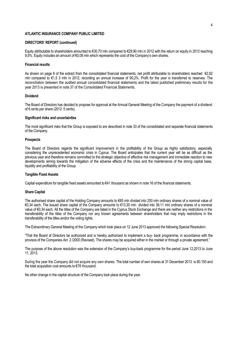## **DIRECTORS' REPORT (continued)**

Equity attributable to shareholders amounted to €30,70 mln compared to €29,90 mln in 2012 with the return on equity in 2013 reaching 9,5%. Equity includes an amount of €0,08 mln which represents the cost of the Company's own shares.

#### **Financial results**

As shown on page 8 of the extract from the consolidated financial statements, net profit attributable to shareholders reached €2,92 mln compared to €1,5 3 mln in 2012, recording an annual increase of 90,2%. Profit for the year is transferred to reserves. The reconciliation between the audited annual consolidated financial statements and the latest published preliminary results for the year 2013 is presented in note 37 of the Consolidated Financial Statements.

#### **Dividend**

The Board of Directors has decided to propose for approval at the Annual General Meeting of the Company the payment of a dividend of 6 cents per share (2012: 5 cents).

#### **Significant risks and uncertainties**

The most significant risks that the Group is exposed to are described in note 33 of the consolidated and separate financial statements of the Company.

#### **Prospects**

The Board of Directors regards the significant improvement in the profitability of the Group as highly satisfactory, especially considering the unprecedented economic crisis in Cyprus. The Board anticipates that the current year will be as difficult as the previous year and therefore remains committed to the strategic objective of effective risk management and immediate reaction to new developments aiming towards the mitigation of the adverse effects of the crisis and the maintenance of the strong capital base, liquidity and profitability of the Group.

#### **Tangible Fixed Assets**

Capital expenditure for tangible fixed assets amounted to  $\epsilon$ 41 thousand as shown in note 16 of the financial statements.

#### **Share Capital**

The authorised share capital of the Holding Company amounts to €85 mln divided into 250 mln ordinary shares of a nominal value of €0,34 each. The issued share capital of the Company amounts to €13,30 mln divided into 39,11 mln ordinary shares of a nominal value of €0,34 each. All the titles of the Company are listed in the Cyprus Stock Exchange and there are neither any restrictions in the transferability of the titles of the Company nor any known agreements between shareholders that may imply restrictions in the transferability of the titles and/or the voting rights.

The Extraordinary General Meeting of the Company which took place on 12 June 2013 approved the following Special Resolution:

"That the Board of Directors be authorized and is hereby authorized to implement a buy- back programme, in accordance with the provisos of the Companies Act 2 /2000 (Revised). The shares may be acquired either in the market or through a private agreement.''

The purpose of the above resolution was the extension of the Company's buy-back programme for the period June 12,2013 to June 11, 2013.

During the year the Company did not acquire any own shares. The total number of own shares at 31 December 2013 is 80.150 and the total acquisition cost amounts to €78 thousand.

No other change in the capital structure of the Company took place during the year.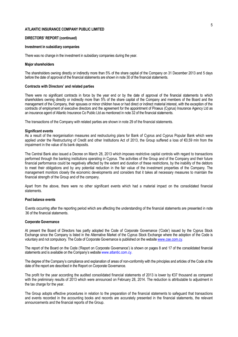#### **DIRECTORS' REPORT (continued)**

#### **Investment in subsidiary companies**

There was no change in the investment in subsidiary companies during the year.

#### **Major shareholders**

The shareholders owning directly or indirectly more than 5% of the share capital of the Company on 31 December 2013 and 5 days before the date of approval of the financial statements are shown in note 30 of the financial statements.

#### **Contracts with Directors' and related parties**

There were no significant contracts in force by the year end or by the date of approval of the financial statements to which shareholders owning directly or indirectly more than 5% of the share capital of the Company and members of the Board and the management of the Company, their spouses or minor children have or had direct or indirect material interest, with the exception of the contracts of employment of executive directors and the agreement for the appointment of Piraeus (Cyprus) Insurance Agency Ltd as an insurance agent of Atlantic Insurance Co Public Ltd as mentioned in note 32 of the financial statements.

The transactions of the Company with related parties are shown in note 29 of the financial statements.

#### **Significant events**

As a result of the reorganisation measures and restructuring plans for Bank of Cyprus and Cyprus Popular Bank which were applied under the Restructuring of Credit and other Institutions Act of 2013, the Group suffered a loss of €0,59 mln from the impairment in the value of its bank deposits.

The Central Bank also issued a Decree on March 28, 2013 which imposes restrictive capital controls with regard to transactions performed through the banking institutions operating in Cyprus. The activities of the Group and of the Company and their future financial performance could be negatively affected by the extent and duration of these restrictions, by the inability of the debtors to meet their obligations and by any potential reduction in the fair value of the investment properties of the Company. The management monitors closely the economic developments and considers that it takes all necessary measures to maintain the financial strength of the Group and of the company.

Apart from the above, there were no other significant events which had a material impact on the consolidated financial statements.

### **Post balance events**

Events occurring after the reporting period which are affecting the understanding of the financial statements are presented in note 36 of the financial statements.

#### **Corporate Governance**

At present the Board of Directors has partly adopted the Code of Corporate Governance ('Code') issued by the Cyprus Stock Exchange since the Company is listed in the Alternative Market of the Cyprus Stock Exchange where the adoption of the Code is voluntary and not compulsory. The Code of Corporate Governance is published on the website www.cse.com.cy.

The report of the Board on the Code ('Report on Corporate Governance') is shown on pages 8 and 17 of the consolidated financial statements and is available on the Company's website www.atlantic.com.cy.

The degree of the Company's compliance and explanation of areas of non-conformity with the principles and articles of the Code at the date of the report are described in the Report on Corporate Governance.

The profit for the year according the audited consolidated financial statements of 2013 is lower by €37 thousand as compared with the preliminary results of 2013 which were announced on February 28, 2014. The reduction is attributable to adjustment in the tax charge for the year.

The Group adopts effective procedures in relation to the preparation of the financial statements to safeguard that transactions and events recorded in the accounting books and records are accurately presented in the financial statements, the relevant announcements and the financial reports of the Group.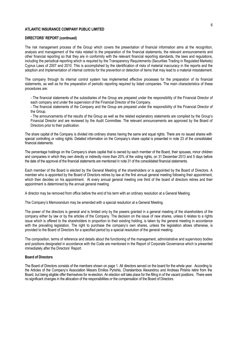#### **DIRECTORS' REPORT (continued)**

The risk management process of the Group which covers the presentation of financial information aims at the recognition, analysis and management of the risks related to the preparation of the financial statements, the relevant announcements and other financial reporting so that they are in conformity with the relevant financial reporting standards, the laws and regulations, including the periodical reporting which is required by the Transparency Requirements (Securities Trading in Regulated Markets) Cyprus Laws of 2007 and 2010. This is accomplished by the identification of risks of material inaccuracy in the reports and the adoption and implementation of internal controls for the prevention or detection of items that may lead to a material misstatement.

The company through its internal control system has implemented effective processes for the preparation of its financial statements, as well as for the preparation of periodic reporting required by listed companies. The main characteristics of these procedures are:

- The financial statements of the subsidiaries of the Group are prepared under the responsibility of the Financial Director of each company and under the supervision of the Financial Director of the Company.

- The financial statements of the Company and the Group are prepared under the responsibility of the Financial Director of the Group.

- The announcements of the results of the Group as well as the related explanatory statements are compiled by the Group's Financial Director and are reviewed by the Audit Committee. The relevant announcements are approved by the Board of Directors prior to their publication.

The share capital of the Company is divided into ordinary shares having the same and equal rights. There are no issued shares with special controlling or voting rights. Detailed information on the Company's share capital is presented in note 23 of the consolidated financial statements.

The percentage holdings on the Company's share capital that is owned by each member of the Board, their spouses, minor children and companies in which they own directly or indirectly more than 20% of the voting rights, on 31 December 2013 and 5 days before the date of the approval of the financial statements are mentioned in note 31 of the consolidated financial statements.

Each member of the Board is elected by the General Meeting of the shareholders or is appointed by the Board of Directors. A member who is appointed by the Board of Directors retires by law at the first annual general meeting following their appointment, which then decides on his appointment. At every annual general meeting one third of the board of directors retires and their appointment is determined by the annual general meeting.

A director may be removed from office before the end of his term with an ordinary resolution at a General Meeting.

The Company's Memorandum may be amended with a special resolution at a General Meeting.

The power of the directors is general and is limited only by the powers granted in a general meeting of the shareholders of the company either by law or by the articles of the Company. The decision on the issue of new shares, unless it relates to a rights issue which is offered to the shareholders in proportion to their existing holding, is taken by the general meeting in accordance with the prevailing legislation. The right to purchase the company's own shares, unless the legislation allows otherwise, is provided to the Board of Directors for a specified period by a special resolution of the general meeting.

The composition, terms of reference and details about the functioning of the management, administrative and supervisory bodies and positions designated in accordance with the Code are mentioned in the Report of Corporate Governance which is presented immediately after the Directors' Report.

#### **Board of Directors**

The Board of Directors consists of the members shown on page 1. All directors served on the board for the whole year. According to the Articles of the Company's Association Messrs Emilios Pyrishis, Charalambos Alexandrou and Andreas Pirishis retire from the Board, but being eligible offer themselves for re-election. An election will take place for the filling in of the vacant positions. There were no significant changes in the allocation of the responsibilities or the compensation of the Board of Directors.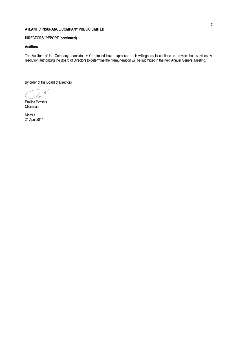# **DIRECTORS' REPORT (continued)**

## **Auditors**

The Auditors of the Company Joannides + Co Limited have expressed their willingness to continue to provide their services. A resolution authorizing the Board of Directors to determine their remuneration will be submitted in the next Annual General Meeting.

By order of the Board of Directors,

Emilios Pyrishis Chairman

Nicosia 24 April 2014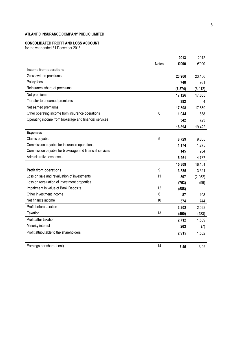# **CONSOLIDATED PROFIT AND LOSS ACCOUNT**

for the year ended 31 December 2013

|                                                         |              | 2013    | 2012    |
|---------------------------------------------------------|--------------|---------|---------|
|                                                         | <b>Notes</b> | €'000   | €'000   |
| Income from operations                                  |              |         |         |
| Gross written premiums                                  |              | 23.960  | 23.106  |
| Policy fees                                             |              | 740     | 761     |
| Reinsurers' share of premiums                           |              | (7.574) | (6.012) |
| Net premiums                                            |              | 17.126  | 17.855  |
| Transfer to unearned premiums                           |              | 382     | 4       |
| Net earned premiums                                     |              | 17.508  | 17.859  |
| Other operating income from insurance operations        | 6            | 1.044   | 838     |
| Operating income from brokerage and financial services  |              | 342     | 725     |
|                                                         |              | 18.894  | 19.422  |
| <b>Expenses</b>                                         |              |         |         |
| Claims payable                                          | 5            | 8.729   | 9.805   |
| Commission payable for insurance operations             |              | 1.174   | 1.275   |
| Commission payable for brokerage and financial services |              | 145     | 284     |
| Administrative expenses                                 |              | 5.261   | 4.737   |
|                                                         |              | 15.309  | 16.101  |
| <b>Profit from operations</b>                           | 9            | 3.585   | 3.321   |
| Loss on sale and revaluation of investments             | 11           | 307     | (2.052) |
| Loss on revaluation of investment properties            |              | (763)   | (99)    |
| Impairment in value of Bank Deposits                    | 12           | (588)   |         |
| Other investment income                                 | 6            | 87      | 108     |
| Net finance income                                      | 10           | 574     | 744     |
| Profit before taxation                                  |              | 3.202   | 2.022   |
| Taxation                                                | 13           | (490)   | (483)   |
| Profit after taxation                                   |              | 2.712   | 1.539   |
| Minority interest                                       |              | 203     | (7)     |
| Profit attributable to the shareholders                 |              | 2.915   | 1.532   |
|                                                         |              |         |         |
| Earnings per share (cent)                               | 14           | 7,45    | 3,92    |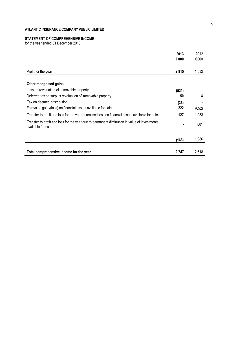# **STATEMENT OF COMPREHENSIVE INCOME**

for the year ended 31 December 2013

|                                                                                                                    | 2013  | 2012  |
|--------------------------------------------------------------------------------------------------------------------|-------|-------|
|                                                                                                                    | €'000 | €'000 |
| Profit for the year                                                                                                | 2.915 | 1.532 |
| Other recognised gains :                                                                                           |       |       |
| Loss on revaluation of immovable property                                                                          | (531) |       |
| Deferred tax on surplus revaluation of immovable property                                                          | 50    | 4     |
| Tax on deemed dristribution                                                                                        | (36)  |       |
| Fair value gain /(loss) on financial assets available for sale                                                     | 222   | (652) |
| Transfer to profit and loss for the year of realised loss on financial assets available for sale                   | 127   | 1.053 |
| Transfer to profit and loss for the year due to permanent diminution in value of investments<br>available for sale |       | 681   |
|                                                                                                                    | (168) | 1.086 |
| Total comprehensive income for the year                                                                            | 2.747 | 2.618 |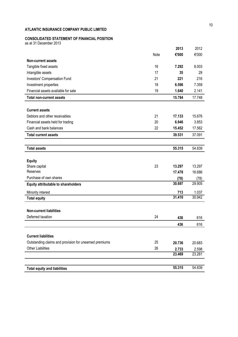## **CONSOLIDATED STATEMENT OF FINANCIAL POSITION**

as at 31 December 2013

|                                                        |      | 2013   | 2012   |
|--------------------------------------------------------|------|--------|--------|
|                                                        | Note | €'000  | €'000  |
| <b>Non-current assets</b>                              |      |        |        |
| Tangible fixed assets                                  | 16   | 7.292  | 8.003  |
| Intangible assets                                      | 17   | 35     | 29     |
| Investors' Compensation Fund                           | 21   | 221    | 216    |
| Investment properties                                  | 18   | 6.596  | 7.359  |
| Financial assets available for sale                    | 19   | 1.640  | 2.141  |
| <b>Total non-current assets</b>                        |      | 15.784 | 17.748 |
|                                                        |      |        |        |
| <b>Current assets</b>                                  |      |        |        |
| Debtors and other receivables                          | 21   | 17.133 | 15.676 |
| Financial assets held for trading                      | 20   | 6.946  | 3.853  |
| Cash and bank balances                                 | 22   | 15.452 | 17.562 |
| <b>Total current assets</b>                            |      | 39.531 | 37.091 |
|                                                        |      |        |        |
| <b>Total assets</b>                                    |      | 55.315 | 54.839 |
|                                                        |      |        |        |
| <b>Equity</b>                                          |      |        |        |
| Share capital                                          | 23   | 13.297 | 13.297 |
| Reserves                                               |      | 17.478 | 16.686 |
| Purchase of own shares                                 |      | (78)   | (78)   |
| <b>Equity attributable to shareholders</b>             |      | 30.697 | 29.905 |
| Minority interest                                      |      | 713    | 1.037  |
| <b>Total equity</b>                                    |      | 31.410 | 30.942 |
|                                                        |      |        |        |
| <b>Non-current liabilities</b>                         |      |        |        |
| Deferred taxation                                      | 24   | 436    | 616    |
|                                                        |      | 436    | 616    |
|                                                        |      |        |        |
| <b>Current liabilities</b>                             |      |        |        |
| Outstanding claims and provision for unearned premiums | 25   | 20.736 | 20.683 |
| <b>Other Liabilities</b>                               | 26   | 2.733  | 2.598  |
|                                                        |      | 23.469 | 23.281 |
|                                                        |      |        |        |
| <b>Total equity and liabilities</b>                    |      | 55.315 | 54.839 |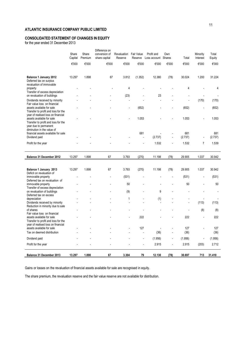# **CONSOLIDATED STATEMENT OF CHANGES IN EQUITY**

for the year ended 31 December 2013

|                                                                                                        | Share   | Share   | Difference on<br>conversion of | <b>Revaluation</b> Fair Value |         | Profit and          | Own   |                | Minority                 | Total          |
|--------------------------------------------------------------------------------------------------------|---------|---------|--------------------------------|-------------------------------|---------|---------------------|-------|----------------|--------------------------|----------------|
|                                                                                                        | Capital | Premium | share capital                  | Reserve                       | Reserve | Loss account Shares |       | Total          | Interest                 | Equity         |
|                                                                                                        | €'000   | €'000   | €'000                          | €'000                         | €'000   | €'000               | €'000 | €'000          | €'000                    | €'000          |
|                                                                                                        |         |         |                                |                               |         |                     |       |                |                          |                |
| Balance 1 January 2012<br>Deferred tax on surplus<br>revaluation of immovable                          | 13.297  | 1.898   | 67                             | 3.812                         | (1.352) | 12.380              | (78)  | 30.024         | 1.200                    | 31.224         |
| property<br>Transfer of excess depreciation                                                            |         |         |                                | 4                             |         |                     |       | 4              |                          | 4              |
| on revaluation of buildings                                                                            |         |         |                                | (23)                          |         | 23                  |       |                |                          |                |
| Dividends received by minority<br>Fair value loss on financial                                         |         |         |                                | $\overline{a}$                |         |                     |       | $\overline{a}$ | (170)                    | (170)          |
| assets available for sale<br>Transfer to profit and loss for the<br>year of realised loss on financial |         |         |                                |                               | (652)   |                     |       | (652)          | l,                       | (652)          |
| assets available for sale<br>Transfer to profit and loss for the<br>year due to permanent              |         |         |                                |                               | 1.053   |                     |       | 1.053          | L,                       | 1.053          |
| diminution in the value of                                                                             |         |         |                                |                               |         |                     |       |                |                          |                |
| financial assets available for sale<br>Dividend paid                                                   |         |         |                                |                               | 681     | (2.737)             |       | 681<br>(2.737) | $\overline{\phantom{a}}$ | 681<br>(2.737) |
| Profit for the year                                                                                    |         |         |                                |                               |         | 1.532               |       | 1.532          | $\overline{7}$           | 1.539          |
|                                                                                                        |         |         |                                |                               |         |                     |       |                |                          |                |
|                                                                                                        |         |         |                                |                               |         |                     |       |                |                          |                |
| Balance 31 December 2012                                                                               | 13.297  | 1.898   | 67                             | 3.793                         | (270)   | 11.198              | (78)  | 29.905         | 1.037                    | 30.942         |
|                                                                                                        |         |         |                                |                               |         |                     |       |                |                          |                |
| Balance 1 January 2013<br>Deficit on revaluation of                                                    | 13.297  | 1.898   | 67                             | 3.793                         | (270)   | 11.198              | (78)  | 29.905         | 1.037                    | 30.942         |
| immovable property                                                                                     |         |         |                                | (531)                         |         |                     |       | (531)          | $\overline{a}$           | (531)          |
| Deferred tax on revaluation of<br>immovable property                                                   |         |         |                                | 50                            |         |                     |       | 50             | L,                       | 50             |
| Transfer of excess depreciation<br>on revaluation of buildings                                         |         |         |                                | (9)                           |         | 9                   |       |                |                          |                |
| Deferred tax on excess                                                                                 |         |         |                                |                               |         |                     |       |                |                          |                |
| depreciation<br>Dividends received by minority                                                         |         |         |                                | 1                             |         | (1)                 |       |                | (113)                    | (113)          |
| Reduction in minority due to sale<br>of shares                                                         |         |         |                                |                               |         |                     |       |                | (8)                      | (8)            |
| Fair value loss on financial                                                                           |         |         |                                | $\overline{a}$                |         |                     |       |                | ÷,                       |                |
| assets available for sale<br>Transfer to profit and loss for the                                       |         |         |                                |                               | 222     |                     |       | 222            |                          | 222            |
| year of realised loss on financial<br>assets available for sale                                        |         |         |                                |                               | 127     |                     |       | 127            | Ĭ.                       | 127            |
| Tax on deemed distribution                                                                             |         |         |                                |                               |         | (36)                |       | (36)           |                          | (36)           |
| Dividend paid                                                                                          |         |         |                                |                               |         | (1.956)             |       | (1.956)        | l,                       | (1.956)        |
| Profit for the year                                                                                    |         |         |                                |                               |         | 2.915               | L.    | 2.915          | (203)                    | 2.712          |

Gains or losses on the revaluation of financial assets available for sale are recognised in equity.

The share premium, the revaluation reserve and the fair value reserve are not available for distribution.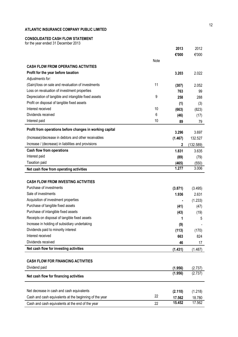# **CONSOLIDATED CASH FLOW STATEMENT**

for the year ended 31 December 2013

|                                                          |      | 2013    | 2012      |
|----------------------------------------------------------|------|---------|-----------|
|                                                          |      | €'000   | €'000     |
|                                                          | Note |         |           |
| <b>CASH FLOW FROM OPERATING ACTIVITIES</b>               |      |         |           |
| Profit for the year before taxation                      |      | 3.203   | 2.022     |
| Adjustments for:                                         |      |         |           |
| (Gain)/loss on sale and revaluation of investments       | 11   | (307)   | 2.052     |
| Loss on revaluation of investment properties             |      | 763     | 99        |
| Depreciation of tangible and intangible fixed assets     | 9    | 258     | 288       |
| Profit on disposal of tangible fixed assets              |      | (1)     | (3)       |
| Interest received                                        | 10   | (663)   | (823)     |
| Dividends received                                       | 6    | (46)    | (17)      |
| Interest paid                                            | 10   | 89      | 79        |
| Profit from operations before changes in working capital |      | 3.296   | 3.697     |
| (Increase)/decrease in debtors and other receivables     |      | (1.467) | 132.527   |
| Increase / (decrease) in liabilities and provisions      |      | 2       | (132.589) |
| <b>Cash flow from operations</b>                         |      | 1.831   | 3.635     |
| Interest paid                                            |      | (89)    | (79)      |
| Taxation paid                                            |      | (465)   | (550)     |
| Net cash flow from operating activities                  |      | 1.277   | 3.006     |
|                                                          |      |         |           |
| <b>CASH FLOW FROM INVESTING ACTIVITIES</b>               |      |         |           |
| Purchase of investments                                  |      | (3.871) | (3.495)   |
| Sale of investments                                      |      | 1.936   | 2.631     |
| Acquisition of investment properties                     |      |         | (1.233)   |
| Purchase of tangible fixed assets                        |      | (41)    | (47)      |
| Purchase of intangible fixed assets                      |      | (43)    | (19)      |
| Receipts on disposal of tangible fixed assets            |      | 1       | 5         |
| Increase in holding of subsidiary undertaking            |      | (9)     |           |
| Dividends paid to minority interest                      |      | (113)   | (170)     |
| Interest received                                        |      | 663     | 824       |
| Dividends received                                       |      | 46      | 17        |
| Net cash flow for investing activities                   |      | (1.431) | (1.487)   |
|                                                          |      |         |           |
| <b>CASH FLOW FOR FINANCING ACTIVITIES</b>                |      |         |           |
| Dividend paid                                            |      | (1.956) | (2.737    |
| Net cash flow for financing activities                   |      | (1.956) | (2.737)   |
|                                                          |      |         |           |
| Net decrease in cash and cash equivalents                |      | (2.110) | (1.218)   |
| Cash and cash equivalents at the beginning of the year   | 22   | 17.562  | 18.780    |
| Cash and cash equivalents at the end of the year         | 22   | 15.452  | 17.562    |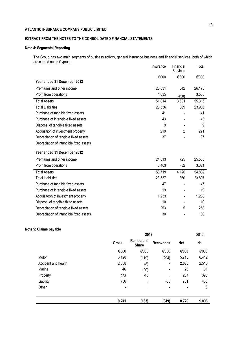# **EXTRACT FROM THE NOTES TO THE CONSOLIDATED FINANCIAL STATEMENTS**

# **Note 4: Segmental Reporting**

The Group has two main segments of business activity, general insurance business and financial services, both of which are carried out in Cyprus.

|                                         | Insurance | Financial<br>Services | Total  |
|-----------------------------------------|-----------|-----------------------|--------|
|                                         | €'000     | €'000                 | €'000  |
| Year ended 31 December 2013             |           |                       |        |
| Premiums and other income               | 25.831    | 342                   | 26.173 |
| Profit from operations                  | 4.035     | (450)                 | 3.585  |
| <b>Total Assets</b>                     | 51.814    | 3.501                 | 55.315 |
| <b>Total Liabilities</b>                | 23.536    | 369                   | 23.905 |
| Purchase of tangible fixed assets       | 41        |                       | 41     |
| Purchase of intangible fixed assets     | 43        |                       | 43     |
| Disposal of tangible fixed assets       | 9         |                       | 9      |
| Acquisition of investment property      | 219       | $\overline{2}$        | 221    |
| Depreciation of tangible fixed assets   | 37        |                       | 37     |
| Depreciation of intangible fixed assets |           |                       |        |
| Year ended 31 December 2012             |           |                       |        |
| Premiums and other income               | 24.813    | 725                   | 25.538 |
| Profit from operations                  | 3.403     | -82                   | 3.321  |
| <b>Total Assets</b>                     | 50.719    | 4.120                 | 54.839 |
| <b>Total Liabilities</b>                | 23.537    | 360                   | 23.897 |
| Purchase of tangible fixed assets       | 47        |                       | 47     |
| Purchase of intangible fixed assets     | 19        | $\blacksquare$        | 19     |
| Acquisitoon of investment property      | 1.233     | Ξ,                    | 1.233  |
| Disposal of tangible fixed assets       | 10        |                       | 10     |
| Depreciation of tangible fixed assets   | 253       | 5                     | 258    |
| Depreciation of intangible fixed assets | 30        |                       | 30     |

## **Note 5: Claims payable**

|                     | 2013           |                                    |                              |            | 2012  |  |
|---------------------|----------------|------------------------------------|------------------------------|------------|-------|--|
|                     | <b>Gross</b>   | <b>Reinsurers'</b><br><b>Share</b> | <b>Recoveries</b>            | <b>Net</b> | Net   |  |
|                     | €'000          | €'000                              | €'000                        | €'000      | €'000 |  |
| Motor               | 6.128          | (119)                              | (294)                        | 5.715      | 6.412 |  |
| Accident and health | 2.088          | (8)                                | $\overline{\phantom{a}}$     | 2.080      | 2.510 |  |
| Marine              | 46             | (20)                               | $\qquad \qquad \blacksquare$ | 26         | 31    |  |
| Property            | 223            | $-16$                              |                              | 207        | 393   |  |
| Liability           | 756            | -                                  | $-55$                        | 701        | 453   |  |
| Other               | $\blacksquare$ | -                                  | -                            | ٠          | 6     |  |
|                     |                |                                    |                              |            |       |  |
|                     | 9.241          | (163)                              | (349)                        | 8.729      | 9.805 |  |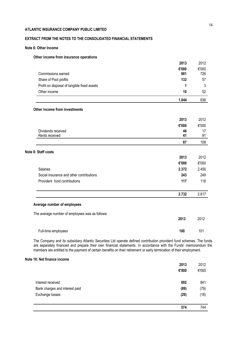# **EXTRACT FROM THE NOTES TO THE CONSOLIDATED FINANCIAL STATEMENTS**

## **Note 6: Other Income**

## **Other income from insurance operations**

|                                                 | 2013  | 2012  |
|-------------------------------------------------|-------|-------|
|                                                 | €'000 | €'000 |
| Commissions earned                              | 901   | 726   |
| Share of Pool profits                           | 132   | 57    |
| Profit on disposal of tangible fixed assets     | 1     | 3     |
| Other income                                    | 10    | 52    |
|                                                 | 1.044 | 838   |
| Other income from investments                   |       |       |
|                                                 | 2013  | 2012  |
|                                                 | €'000 | €'000 |
| Dividends received                              | 46    | 17    |
| Rents received                                  | 41    | 91    |
|                                                 | 87    | 108   |
| Note 8: Staff costs                             |       |       |
|                                                 | 2013  | 2012  |
|                                                 | €'000 | €'000 |
| Salaries                                        | 2.372 | 2.450 |
| Social insurance and other contributions        | 243   | 249   |
| Provident fund contributions                    | 117   | 118   |
|                                                 | 2.732 | 2.817 |
| Average number of employees                     |       |       |
| The average number of employees was as follows: |       |       |
|                                                 | 2013  | 2012  |
| Full-time employees                             | 100   | 101   |

The Company and its subsidiary Atlantic Securities Ltd operate defined contribution provident fund schemes. The funds are separately financed and prepare their own financial statements. In accordance with the Funds' memorandum the members are entitled to the payment of certain benefits on their retirement or early termination of their employment.

## **Note 10: Net finance income**

|                                | 2013  | 2012  |
|--------------------------------|-------|-------|
|                                | €'000 | €'000 |
| Interest received              | 692   | 841   |
| Bank charges and interest paid | (89)  | (79)  |
| Exchange losses                | (29)  | (18)  |
|                                |       |       |
|                                | 574   | 744   |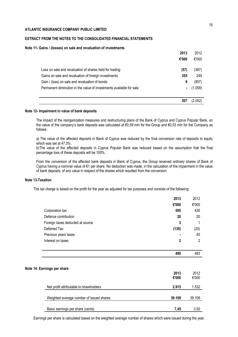## **EXTRACT FROM THE NOTES TO THE CONSOLIDATED FINANCIAL STATEMENTS**

#### **Note 11- Gains / (losses) on sale and revaluation of investments**

|                                                                     | 2013  | 2012    |
|---------------------------------------------------------------------|-------|---------|
|                                                                     | €'000 | €'000   |
| Loss on sale and revaluation of shares held for trading             | (57)  | (387)   |
| Gains on sale and revaluation of foreign investments                | 355   | 249     |
| Gain / (loss) on sale and revaluation of bonds                      | 9     | (857)   |
| Permanent diminution in the value of investments available for sale | ٠     | (1.058) |
|                                                                     | 307   | (2.052) |

#### **Note 12- Impairment in value of bank deposits**

The impact of the reorganization measures and restructuring plans of the Bank of Cyprus and Cyprus Popular Bank, on the value of the company's bank deposits was calculated at €0,59 mln for the Group and €0,53 mln for the Company as follows:

a) The value of the affected deposits in Bank of Cyprus was reduced by the final conversion rate of deposits to equity which was set at 47,5%.

b)The value of the affected deposits in Cyprus Popular Bank was reduced based on the assumption that the final percentage loss of these deposits will be 100%.

From the conversion of the affected bank deposits in Bank of Cyprus, the Group received ordinary shares of Bank of Cyprus having a nominal value of €1 per share. No deduction was made, in the calculation of the impairment in the value of bank deposits, of any value in respect of the shares which resulted from the conversion.

#### **Note 13-Taxation**

The tax charge is based on the profit for the year as adjusted for tax purposes and consists of the following:

|                                          | 2013           | 2012           |
|------------------------------------------|----------------|----------------|
|                                          | €'000          | €'000          |
| Corporation tax                          | 595            | 435            |
| Defence contribution                     | 20             | 20             |
| Foreign taxes deducted at source         | 3              | 1              |
| Deferred Tax                             | (130)          | (20)           |
| Previous years taxes                     |                | 45             |
| Interest on taxes                        | $\overline{2}$ | $\overline{2}$ |
|                                          | 490            | 483            |
|                                          |                |                |
| Note 14: Earnings per share              | 2013           | 2012           |
|                                          | €'000          | €'000          |
| Net profit attributable to shareholders  | 2.915          | 1.532          |
| Weighted average number of issued shares | 39.109         | 39.109         |
| Basic earnings per share (cents)         | 7,45           | 3,92           |

Earnings per share is calculated based on the weighted average number of shares which were issued during the year.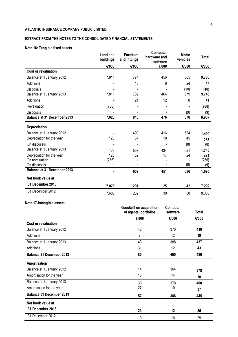# **EXTRACT FROM THE NOTES TO THE CONSOLIDATED FINANCIAL STATEMENTS**

# **Note 16: Tangible fixed assets**

|                                    | <b>Land and</b><br>buildings | <b>Furniture</b><br>and fittings | Computer<br>hardware and<br>software | <b>Motor</b><br>vehicles | Total |
|------------------------------------|------------------------------|----------------------------------|--------------------------------------|--------------------------|-------|
|                                    | €'000                        | €'000                            | €'000                                | €'000                    | €'000 |
| <b>Cost or revaluation</b>         |                              |                                  |                                      |                          |       |
| Balance at 1 January 2012          | 7.811                        | 774                              | 456                                  | 665                      | 9.706 |
| Additions                          |                              | 15                               | 8                                    | 24                       | 47    |
| <b>Disposals</b>                   |                              |                                  |                                      | (10)                     | (10)  |
| Balance at 1 January 2013          | 7.811                        | 789                              | 464                                  | 679                      | 9.743 |
| Additions                          |                              | 21                               | 12                                   | 8                        | 41    |
| Revaluation                        | (788)                        |                                  |                                      |                          | (788) |
| Disposals                          |                              | $\qquad \qquad \blacksquare$     |                                      | (9)                      | (9)   |
| <b>Balance at 31 December 2013</b> | 7.023                        | 810                              | 476                                  | 678                      | 8.987 |
| Depreciation                       |                              |                                  |                                      |                          |       |
| Balance at 1 January 2012          |                              | 490                              | 416                                  | 584                      | 1.490 |
| Depreciation for the year          | 128                          | 67                               | 18                                   | 45                       | 258   |
| On disposals                       |                              |                                  |                                      | (8)                      | (8)   |
| Balance at 1 January 2013          | 128                          | 557                              | 434                                  | 621                      | 1.740 |
| Depreciation for the year          | 128                          | 52                               | 17                                   | 24                       | 221   |
| On revaluation                     | (256)                        |                                  |                                      |                          | (256) |
| On disposals                       |                              |                                  |                                      | (9)                      | (9)   |
| <b>Balance at 31 December 2013</b> |                              | 609                              | 451                                  | 636                      | 1.695 |
| Net book value at                  |                              |                                  |                                      |                          |       |
| 31 December 2013                   | 7.023                        | 201                              | 25                                   | 42                       | 7.292 |
| 31 December 2012                   | 7.683                        | 232                              | 30                                   | 58                       | 8.003 |
| .                                  |                              |                                  |                                      |                          |       |

## **Note 17-Intangible assets**

|                                 | <b>Goodwill on acquisition</b><br>of agents' portfolios | Computer<br>software | Total |
|---------------------------------|---------------------------------------------------------|----------------------|-------|
|                                 | €'000                                                   | €'000                | €'000 |
| <b>Cost or revaluation</b>      |                                                         |                      |       |
| Balance at 1 January 2012       | 42                                                      | 376                  | 418   |
| Additions                       | 7                                                       | 12                   | 19    |
| Balance at 1 January 2013       | 49                                                      | 388                  | 437   |
| Additions                       | 31                                                      | 12                   | 43    |
| Balance 31 December 2013        | 80                                                      | 400                  | 480   |
| Amortisation                    |                                                         |                      |       |
| Balance at 1 January 2012       | 14                                                      | 364                  | 378   |
| Amortisation for the year       | 16                                                      | 14                   | 30    |
| Balance at 1 January 2013       | 30                                                      | 378                  | 408   |
| Amortisation for the year       | 27                                                      | 10                   | 37    |
| <b>Balance 31 December 2013</b> | 57                                                      | 388                  | 445   |
| Net book value at               |                                                         |                      |       |
| 31 December 2013                | 23                                                      | 12                   | 35    |
| 31 December 2012                | 19                                                      | 10                   | 29    |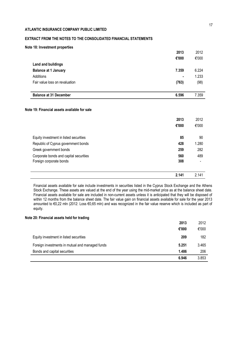# **EXTRACT FROM THE NOTES TO THE CONSOLIDATED FINANCIAL STATEMENTS**

## **Note 18: Investment properties**

| <b>Balance at 31 December</b>  | 6.596 | 7.359 |
|--------------------------------|-------|-------|
| Fair value loss on revaluation | (763) | (98)  |
|                                |       |       |
| Additions                      | ٠     | 1.233 |
| <b>Balance at 1 January</b>    | 7.359 | 6.224 |
| Land and buildings             |       |       |
|                                | €'000 | €'000 |
|                                | 2013  | 2012  |

|                                        | 2013  | 2012  |
|----------------------------------------|-------|-------|
|                                        | €'000 | €'000 |
|                                        |       |       |
| Equity investment in listed securities | 85    | 90    |
| Republic of Cyprus government bonds    | 428   | 1.280 |
| Greek government bonds                 | 259   | 282   |
| Corporate bonds and capital securities | 560   | 489   |
| Foreign corporate bonds                | 308   |       |
|                                        |       |       |
|                                        | 2.141 | 2.141 |

Financial assets available for sale include investments in securities listed in the Cyprus Stock Exchange and the Athens Stock Exchange. These assets are valued at the end of the year using the mid-market price as at the balance sheet date. Financial assets available for sale are included in non-current assets unless it is anticipated that they will be disposed of within 12 months from the balance sheet date. The fair value gain on financial assets available for sale for the year 2013 amounted to €0,22 mln (2012: Loss €0,65 mln) and was recognized in the fair value reserve which is included as part of equity.

## **Note 20: Financial assets held for trading**

|                                                 | 2013  | 2012  |
|-------------------------------------------------|-------|-------|
|                                                 | €'000 | €'000 |
| Equity investment in listed securities          | 209   | 182   |
| Foreign investments in mutual and managed funds | 5.251 | 3.465 |
| Bonds and capital securities                    | 1.486 | 206   |
|                                                 | 6.946 | 3.853 |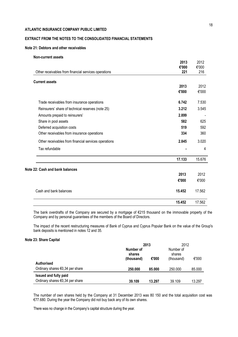# **EXTRACT FROM THE NOTES TO THE CONSOLIDATED FINANCIAL STATEMENTS**

## **Note 21: Debtors and other receivables**

| <b>Non-current assets</b>                            |              |              |
|------------------------------------------------------|--------------|--------------|
|                                                      | 2013         | 2012         |
| Other receivables from financial services operations | €'000<br>221 | €'000<br>216 |
|                                                      |              |              |
| <b>Current assets</b>                                |              |              |
|                                                      | 2013         | 2012         |
|                                                      | €'000        | €'000        |
| Trade receivables from insurance operations          | 6.742        | 7.530        |
| Reinsurers' share of technical reserves (note 25)    | 3.212        | 3.545        |
| Amounts prepaid to reinsurers'                       | 2.899        |              |
| Share in pool assets                                 | 582          | 625          |
| Deferred acquisition costs                           | 519          | 592          |
| Other receivables from insurance operations          | 334          | 360          |
| Other receivables from financial services operations | 2.845        | 3.020        |
| Tax refundable                                       |              | 4            |
|                                                      | 17.133       | 15.676       |
| Note 22: Cash and bank balances                      |              |              |
|                                                      | 2013         | 2012         |
|                                                      | €'000        | €'000        |
| Cash and bank balances                               | 15.452       | 17.562       |
|                                                      | 15.452       | 17.562       |

The bank overdrafts of the Company are secured by a mortgage of €215 thousand on the immovable property of the Company and by personal guarantees of the members of the Board of Directors.

The impact of the recent restructuring measures of Bank of Cyprus and Cyprus Popular Bank on the value of the Group's bank deposits is mentioned in notes 12 and 35.

### **Note 23: Share Capital**

|                                           | 2013                |        | 2012                |        |  |
|-------------------------------------------|---------------------|--------|---------------------|--------|--|
|                                           | Number of<br>shares |        | Number of<br>shares |        |  |
|                                           | (thousand)          | €'000  | (thousand)          | €'000  |  |
| <b>Authorised</b>                         |                     |        |                     |        |  |
| Ordinary shares $\epsilon$ 0,34 per share | 250.000             | 85.000 | 250.000             | 85.000 |  |
| Issued and fully paid                     |                     |        |                     |        |  |
| Ordinary shares $\epsilon$ 0,34 per share | 39.109              | 13.297 | 39.109              | 13.297 |  |

The number of own shares held by the Company at 31 December 2013 was 80 150 and the total acquisition cost was €77.680. During the year the Company did not buy back any of its own shares.

There was no change in the Company's capital structure during the year.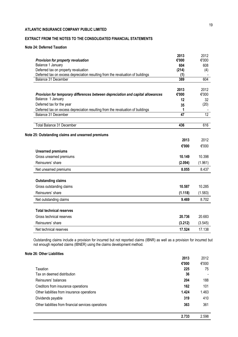# **EXTRACT FROM THE NOTES TO THE CONSOLIDATED FINANCIAL STATEMENTS**

# **Note 24: Deferred Taxation**

| Provision for property revaluation                                              | 2013<br>€'000   | 2012<br>€'000 |
|---------------------------------------------------------------------------------|-----------------|---------------|
| Balance 1 January                                                               | 604             | 608           |
| Deferred tax on property revaluation                                            | (214)           | (4)           |
| Deferred tax on excess depreciation resulting from the revaluation of buildings | (1)             |               |
| Balance 31 December                                                             | 389             | 604           |
|                                                                                 | 2013            | 2012          |
| Provision for temporary differences between depreciation and capital allowances | €'000           | €'000         |
| Balance 1 January                                                               | 12              | 32            |
| Deferred tax for the year                                                       | 35              | (20)          |
| Deferred tax on excess depreciation resulting from the revaluation of buildings | 1               |               |
| <b>Balance 31 December</b>                                                      | $\overline{47}$ | 12            |
| <b>Total Balance 31 December</b>                                                | 436             | 616           |
| Note 25: Outstanding claims and unearned premiums                               |                 |               |
|                                                                                 | 2013            | 2012          |
|                                                                                 | €'000           | €'000         |
| <b>Unearned premiums</b>                                                        |                 |               |
| Gross unearned premiums                                                         | 10.149          | 10.398        |
| Reinsurers' share                                                               | (2.094)         | (1.961)       |
| Net unearned premiums                                                           | 8.055           | 8.437         |
| <b>Outstanding claims</b>                                                       |                 |               |
| Gross outstanding claims                                                        | 10.587          | 10.285        |
| Reinsurers' share                                                               | (1.118)         | (1.583)       |
| Net outstanding claims                                                          | 9.469           | 8.702         |
| <b>Total technical reserves</b>                                                 |                 |               |
| Gross technical reserves                                                        | 20.736          | 20.683        |
| Reinsurers' share                                                               | (3.212)         | (3.545)       |
| Net technical reserves                                                          | 17.524          | 17.138        |

Outstanding claims include a provision for incurred but not reported claims (IBNR) as well as a provision for incurred but not enough reported claims (IBNER) using the claims development method.

## **Note 26: Other Liabilities**

| 2013                                                        | 2012  |
|-------------------------------------------------------------|-------|
| €'000                                                       | €'000 |
| Taxation<br>225                                             | 75    |
| Tax on deemed distribution                                  | 36    |
| Reinsurers' balances<br>204                                 | 188   |
| Creditors from insurance operations<br>162                  | 101   |
| Other liabilities from insurance operations<br>1.424        | 1.463 |
| 319<br>Dividends payable                                    | 410   |
| Other liabilities from financial services operations<br>363 | 361   |
| 2.733                                                       | 2.598 |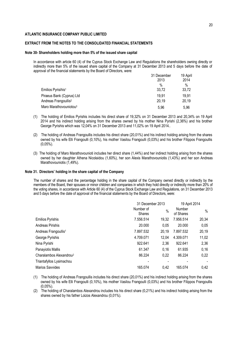## **EXTRACT FROM THE NOTES TO THE CONSOLIDATED FINANCIAL STATEMENTS**

#### **Note 30- Shareholders holding more than 5% of the issued share capital**

In accordance with article 60 (4) of the Cyprus Stock Exchange Law and Regulations the shareholders owning directly or indirectly more than 5% of the issued share capital of the Company at 31 December 2013 and 5 days before the date of approval of the financial statements by the Board of Directors, were:

|                                    | 31 December | 19 April |  |
|------------------------------------|-------------|----------|--|
|                                    | 2013        | 2014     |  |
|                                    | %           | $\%$     |  |
| Emilios Pyrisihis <sup>1</sup>     | 33,72       | 33,72    |  |
| Piraeus Bank (Cyprus) Ltd          | 19,91       | 19,91    |  |
| Andreas Frangoullis <sup>2</sup>   | 20,19       | 20,19    |  |
| Maro Marathovouniotou <sup>3</sup> | 5,96        | 5,96     |  |

- (1) The holding of Emilios Pyrishis includes his direct share of 19,32% on 31 December 2013 and 20,34% on 19 April 2014 and his indirect holding arising from the shares owned by his mother Nina Pyrishi (2,36%) and his brother George Pyrishis which was 12,04% on 31 December 2013 and 11,02% on 19 April 2014..
- (2) The holding of Andreas Frangoullis includes his direct share (20,01%) and his indirect holding arising from the shares owned by his wife Elli Frangoulli (0,10%), his mother Vasilou Frangoulli (0,03%) and his brother Filippos Frangoullis (0,05%).
- (3) The holding of Maro Marathovounioti includes her direct share (1,44%) and her indirect holding arising from the shares owned by her daughter Athena Nicolaidou (1,60%), her son Alexis Marathovouniotis (1,43%) and her son Andreas Marathovouniotis (1,49%).

#### **Note 31. Directors' holding in the share capital of the Company**

The number of shares and the percentage holding in the share capital of the Company owned directly or indirectly by the members of the Board, their spouses or minor children and companies in which they hold directly or indirectly more than 20% of the voting shares, in accordance with Article 60 (4) of the Cyprus Stock Exchange Law and Regulations, on 31 December 2013 and 5 days before the date of approval of the financial statements by the Board of Directors, were:

|                                     | 31 December 2013           |               | 19 April 2014       |       |
|-------------------------------------|----------------------------|---------------|---------------------|-------|
|                                     | Number of<br><b>Shares</b> | $\frac{0}{0}$ | Number<br>of Shares | $\%$  |
| <b>Emilios Pyrishis</b>             | 7.556.514                  | 19,32         | 7.956.514           | 20,34 |
| Andreas Pirishis                    | 20.000                     | 0.05          | 20.000              | 0,05  |
| Andreas Frangoullis <sup>1</sup>    | 7.897.532                  | 20,19         | 7.897.532           | 20,19 |
| George Pyrishis                     | 4.709.071                  | 12,04         | 4.309.071           | 11,02 |
| Nina Pyrishi                        | 922.641                    | 2,36          | 922.641             | 2,36  |
| Panayiotis Mallis                   | 61.347                     | 0, 16         | 61.935              | 0,16  |
| Charalambos Alexandrou <sup>2</sup> | 86.224                     | 0,22          | 86.224              | 0,22  |
| Triantafyllos Lysimachou            |                            |               |                     |       |
| <b>Marios Savvides</b>              | 165.074                    | 0.42          | 165.074             | 0.42  |

(1) The holding of Andreas Frangoullis includes his direct share (20,01%) and his indirect holding arising from the shares owned by his wife Elli Frangoulli (0,10%), his mother Vasilou Frangoulli (0,03%) and his brother Filippos Frangoullis (0,05%).

(2) The holding of Charalambos Alexandrou includes his his direct share (0,21%) and his indirect holding arising from the shares owned by his father Loizos Alexandrou (0,01%).